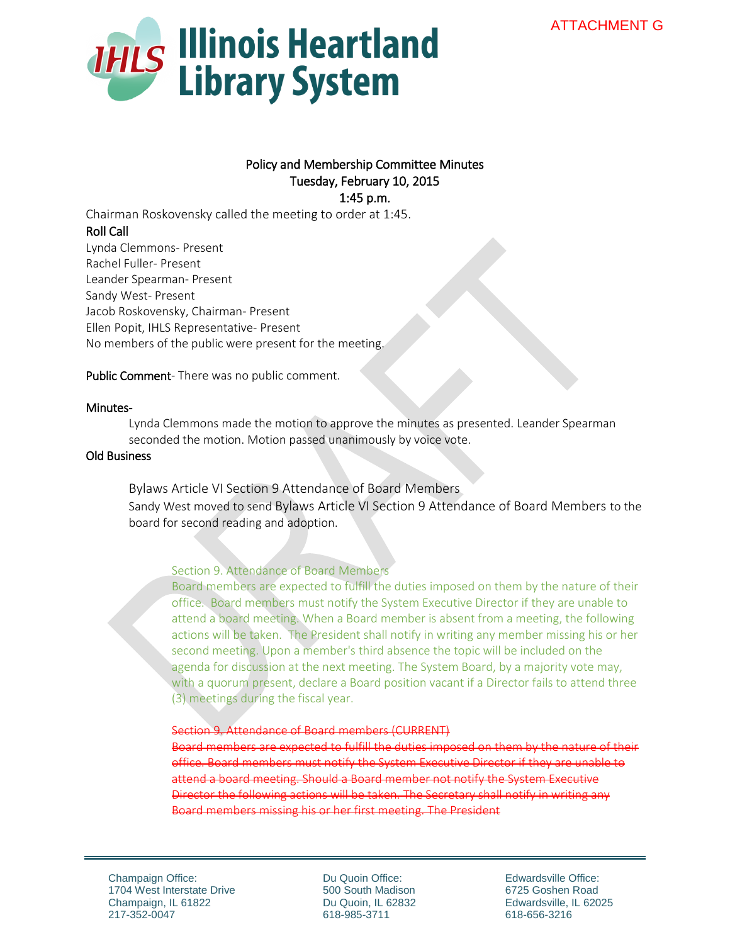

## Policy and Membership Committee Minutes Tuesday, February 10, 2015 1:45 p.m.

Chairman Roskovensky called the meeting to order at 1:45. Roll Call Lynda Clemmons- Present Rachel Fuller- Present Leander Spearman- Present Sandy West- Present Jacob Roskovensky, Chairman- Present Ellen Popit, IHLS Representative- Present No members of the public were present for the meeting.

Public Comment- There was no public comment.

### Minutes-

Lynda Clemmons made the motion to approve the minutes as presented. Leander Spearman seconded the motion. Motion passed unanimously by voice vote.

### Old Business

Bylaws Article VI Section 9 Attendance of Board Members Sandy West moved to send Bylaws Article VI Section 9 Attendance of Board Members to the board for second reading and adoption.

### Section 9. Attendance of Board Members

Board members are expected to fulfill the duties imposed on them by the nature of their office. Board members must notify the System Executive Director if they are unable to attend a board meeting. When a Board member is absent from a meeting, the following actions will be taken. The President shall notify in writing any member missing his or her second meeting. Upon a member's third absence the topic will be included on the agenda for discussion at the next meeting. The System Board, by a majority vote may, with a quorum present, declare a Board position vacant if a Director fails to attend three (3) meetings during the fiscal year.

#### Section 9. Attendance of Board members (CURRENT)

Board members are expected to fulfill the duties office. Board members must notify the System Executive Director if they are unable to attend a board meeting. Should a Board member not notify the System Executive Director the following actions will be taken. The Secretary shall notify in Board members missing his or her first meeting. The President

Champaign Office: 1704 West Interstate Drive Champaign, IL 61822 217-352-0047

Du Quoin Office: 500 South Madison Du Quoin, IL 62832 618-985-3711

Edwardsville Office: 6725 Goshen Road Edwardsville, IL 62025 618-656-3216